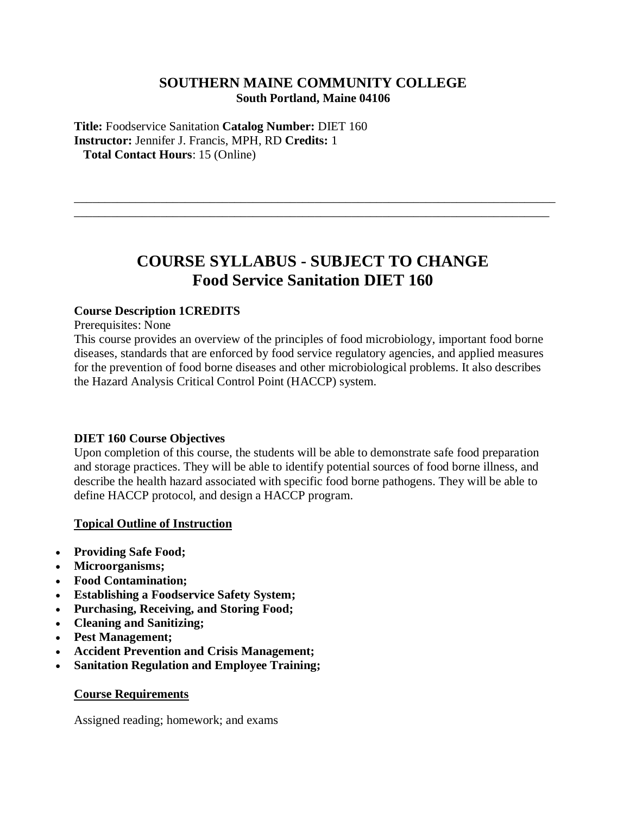# **SOUTHERN MAINE COMMUNITY COLLEGE South Portland, Maine 04106**

**Title:** Foodservice Sanitation **Catalog Number:** DIET 160 **Instructor:** Jennifer J. Francis, MPH, RD **Credits:** 1 **Total Contact Hours**: 15 (Online)

# **COURSE SYLLABUS - SUBJECT TO CHANGE Food Service Sanitation DIET 160**

\_\_\_\_\_\_\_\_\_\_\_\_\_\_\_\_\_\_\_\_\_\_\_\_\_\_\_\_\_\_\_\_\_\_\_\_\_\_\_\_\_\_\_\_\_\_\_\_\_\_\_\_\_\_\_\_\_\_\_\_\_\_\_\_\_\_\_\_\_\_\_\_\_\_\_\_\_\_ \_\_\_\_\_\_\_\_\_\_\_\_\_\_\_\_\_\_\_\_\_\_\_\_\_\_\_\_\_\_\_\_\_\_\_\_\_\_\_\_\_\_\_\_\_\_\_\_\_\_\_\_\_\_\_\_\_\_\_\_\_\_\_\_\_\_\_\_\_\_\_\_\_\_\_\_\_

## **Course Description 1CREDITS**

Prerequisites: None

This course provides an overview of the principles of food microbiology, important food borne diseases, standards that are enforced by food service regulatory agencies, and applied measures for the prevention of food borne diseases and other microbiological problems. It also describes the Hazard Analysis Critical Control Point (HACCP) system.

## **DIET 160 Course Objectives**

Upon completion of this course, the students will be able to demonstrate safe food preparation and storage practices. They will be able to identify potential sources of food borne illness, and describe the health hazard associated with specific food borne pathogens. They will be able to define HACCP protocol, and design a HACCP program.

## **Topical Outline of Instruction**

- **Providing Safe Food;**
- **Microorganisms;**
- **Food Contamination;**
- **Establishing a Foodservice Safety System;**
- **Purchasing, Receiving, and Storing Food;**
- **Cleaning and Sanitizing;**
- **Pest Management;**
- **Accident Prevention and Crisis Management;**
- **Sanitation Regulation and Employee Training;**

#### **Course Requirements**

Assigned reading; homework; and exams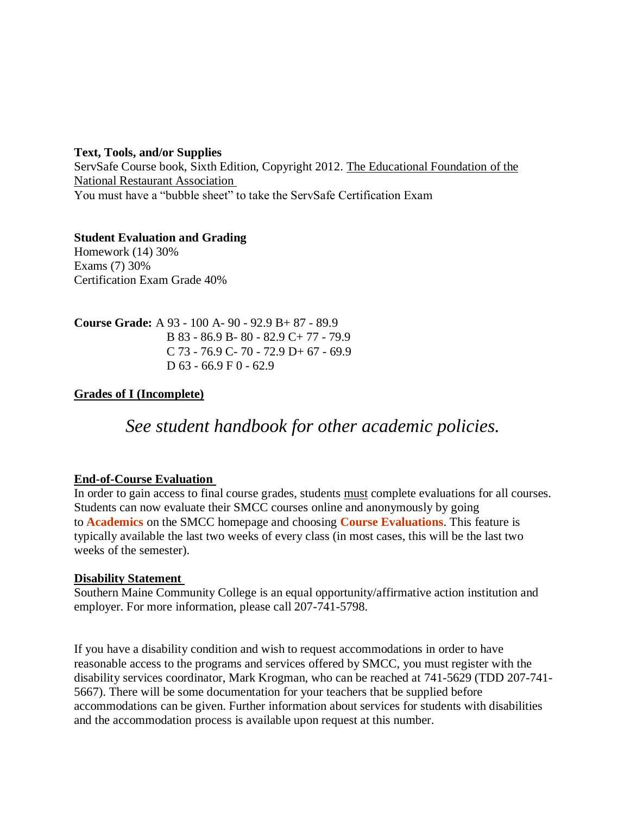## **Text, Tools, and/or Supplies**

ServSafe Course book, Sixth Edition, Copyright 2012. The Educational Foundation of the National Restaurant Association You must have a "bubble sheet" to take the ServSafe Certification Exam

#### **Student Evaluation and Grading** Homework (14) 30%

Exams (7) 30% Certification Exam Grade 40%

**Course Grade:** A 93 - 100 A- 90 - 92.9 B+ 87 - 89.9 B 83 - 86.9 B- 80 - 82.9 C+ 77 - 79.9 C 73 - 76.9 C- 70 - 72.9 D+ 67 - 69.9 D  $63 - 66.9 \text{ F} 0 - 62.9$ 

# **Grades of I (Incomplete)**

# *See student handbook for other academic policies.*

## **End-of-Course Evaluation**

In order to gain access to final course grades, students must complete evaluations for all courses. Students can now evaluate their SMCC courses online and anonymously by going to **Academics** on the SMCC homepage and choosing **Course Evaluations**. This feature is typically available the last two weeks of every class (in most cases, this will be the last two weeks of the semester).

## **Disability Statement**

Southern Maine Community College is an equal opportunity/affirmative action institution and employer. For more information, please call 207-741-5798.

If you have a disability condition and wish to request accommodations in order to have reasonable access to the programs and services offered by SMCC, you must register with the disability services coordinator, Mark Krogman, who can be reached at 741-5629 (TDD 207-741- 5667). There will be some documentation for your teachers that be supplied before accommodations can be given. Further information about services for students with disabilities and the accommodation process is available upon request at this number.